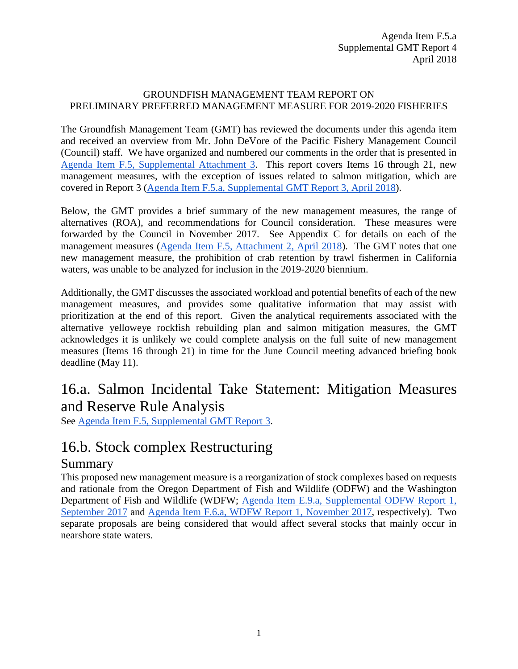#### GROUNDFISH MANAGEMENT TEAM REPORT ON PRELIMINARY PREFERRED MANAGEMENT MEASURE FOR 2019-2020 FISHERIES

The Groundfish Management Team (GMT) has reviewed the documents under this agenda item and received an overview from Mr. John DeVore of the Pacific Fishery Management Council (Council) staff. We have organized and numbered our comments in the order that is presented in Agenda Item F.5, [Supplemental Attachment 3.](https://www.pcouncil.org/wp-content/uploads/2018/04/F5_Supp_Att3_FinalChecklist_Apr2018BB.pdf) This report covers Items 16 through 21, new management measures, with the exception of issues related to salmon mitigation, which are covered in Report 3 [\(Agenda Item F.5.a, Supplemental GMT Report 3, April 2018\)](https://www.pcouncil.org/wp-content/uploads/2018/04/F5a_Supp_GMT_Rpt3_Apr2018BB.pdf).

Below, the GMT provides a brief summary of the new management measures, the range of alternatives (ROA), and recommendations for Council consideration. These measures were forwarded by the Council in November 2017. See Appendix C for details on each of the management measures [\(Agenda Item F.5, Attachment 2, April 2018\)](https://www.pcouncil.org/wp-content/uploads/2018/03/F5_Att2_Appendix_C_New_Management_Measures_1804_Apr2018BB.pdf). The GMT notes that one new management measure, the prohibition of crab retention by trawl fishermen in California waters, was unable to be analyzed for inclusion in the 2019-2020 biennium.

Additionally, the GMT discusses the associated workload and potential benefits of each of the new management measures, and provides some qualitative information that may assist with prioritization at the end of this report. Given the analytical requirements associated with the alternative yelloweye rockfish rebuilding plan and salmon mitigation measures, the GMT acknowledges it is unlikely we could complete analysis on the full suite of new management measures (Items 16 through 21) in time for the June Council meeting advanced briefing book deadline (May 11).

# 16.a. Salmon Incidental Take Statement: Mitigation Measures and Reserve Rule Analysis

See [Agenda Item F.5, Supplemental GMT Report 3.](https://www.pcouncil.org/wp-content/uploads/2018/04/F5a_Supp_GMT_Rpt3_Apr2018BB.pdf)

# 16.b. Stock complex Restructuring

### Summary

This proposed new management measure is a reorganization of stock complexes based on requests and rationale from the Oregon Department of Fish and Wildlife (ODFW) and the Washington Department of Fish and Wildlife (WDFW; [Agenda Item E.9.a, Supplemental ODFW Report 1,](http://www.pcouncil.org/wp-content/uploads/2017/09/E9a_Sup_ODFW_Rpt1_SEPT2017BB.pdf)  [September 2017](http://www.pcouncil.org/wp-content/uploads/2017/09/E9a_Sup_ODFW_Rpt1_SEPT2017BB.pdf) and [Agenda Item F.6.a, WDFW Report 1, November 2017,](http://www.pcouncil.org/wp-content/uploads/2017/10/F9a_WDFW_Rpt1_NOV2017BB.pdf) respectively). Two separate proposals are being considered that would affect several stocks that mainly occur in nearshore state waters.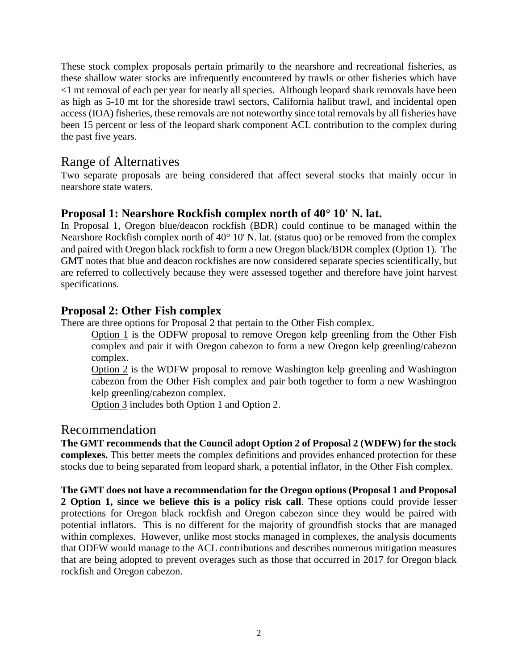These stock complex proposals pertain primarily to the nearshore and recreational fisheries, as these shallow water stocks are infrequently encountered by trawls or other fisheries which have <1 mt removal of each per year for nearly all species. Although leopard shark removals have been as high as 5-10 mt for the shoreside trawl sectors, California halibut trawl, and incidental open access (IOA) fisheries, these removals are not noteworthy since total removals by all fisheries have been 15 percent or less of the leopard shark component ACL contribution to the complex during the past five years.

## Range of Alternatives

Two separate proposals are being considered that affect several stocks that mainly occur in nearshore state waters.

### **Proposal 1: Nearshore Rockfish complex north of 40° 10' N. lat.**

In Proposal 1, Oregon blue/deacon rockfish (BDR) could continue to be managed within the Nearshore Rockfish complex north of 40° 10' N. lat. (status quo) or be removed from the complex and paired with Oregon black rockfish to form a new Oregon black/BDR complex (Option 1). The GMT notes that blue and deacon rockfishes are now considered separate species scientifically, but are referred to collectively because they were assessed together and therefore have joint harvest specifications.

### **Proposal 2: Other Fish complex**

There are three options for Proposal 2 that pertain to the Other Fish complex.

Option 1 is the ODFW proposal to remove Oregon kelp greenling from the Other Fish complex and pair it with Oregon cabezon to form a new Oregon kelp greenling/cabezon complex.

Option 2 is the WDFW proposal to remove Washington kelp greenling and Washington cabezon from the Other Fish complex and pair both together to form a new Washington kelp greenling/cabezon complex.

Option 3 includes both Option 1 and Option 2.

### Recommendation

**The GMT recommends that the Council adopt Option 2 of Proposal 2 (WDFW) for the stock complexes.** This better meets the complex definitions and provides enhanced protection for these stocks due to being separated from leopard shark, a potential inflator, in the Other Fish complex.

**The GMT does not have a recommendation for the Oregon options (Proposal 1 and Proposal 2 Option 1, since we believe this is a policy risk call**. These options could provide lesser protections for Oregon black rockfish and Oregon cabezon since they would be paired with potential inflators. This is no different for the majority of groundfish stocks that are managed within complexes. However, unlike most stocks managed in complexes, the analysis documents that ODFW would manage to the ACL contributions and describes numerous mitigation measures that are being adopted to prevent overages such as those that occurred in 2017 for Oregon black rockfish and Oregon cabezon.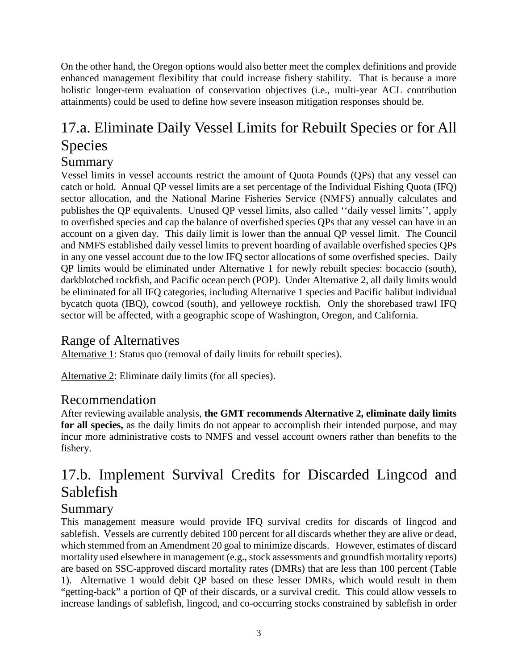On the other hand, the Oregon options would also better meet the complex definitions and provide enhanced management flexibility that could increase fishery stability. That is because a more holistic longer-term evaluation of conservation objectives (i.e., multi-year ACL contribution attainments) could be used to define how severe inseason mitigation responses should be.

# 17.a. Eliminate Daily Vessel Limits for Rebuilt Species or for All Species

## Summary

Vessel limits in vessel accounts restrict the amount of Quota Pounds (QPs) that any vessel can catch or hold. Annual QP vessel limits are a set percentage of the Individual Fishing Quota (IFQ) sector allocation, and the National Marine Fisheries Service (NMFS) annually calculates and publishes the QP equivalents. Unused QP vessel limits, also called ''daily vessel limits'', apply to overfished species and cap the balance of overfished species QPs that any vessel can have in an account on a given day. This daily limit is lower than the annual QP vessel limit. The Council and NMFS established daily vessel limits to prevent hoarding of available overfished species QPs in any one vessel account due to the low IFQ sector allocations of some overfished species. Daily QP limits would be eliminated under Alternative 1 for newly rebuilt species: bocaccio (south), darkblotched rockfish, and Pacific ocean perch (POP). Under Alternative 2, all daily limits would be eliminated for all IFQ categories, including Alternative 1 species and Pacific halibut individual bycatch quota (IBQ), cowcod (south), and yelloweye rockfish. Only the shorebased trawl IFQ sector will be affected, with a geographic scope of Washington, Oregon, and California.

# Range of Alternatives

Alternative 1: Status quo (removal of daily limits for rebuilt species).

Alternative 2: Eliminate daily limits (for all species).

### Recommendation

After reviewing available analysis, **the GMT recommends Alternative 2, eliminate daily limits for all species,** as the daily limits do not appear to accomplish their intended purpose, and may incur more administrative costs to NMFS and vessel account owners rather than benefits to the fishery.

# 17.b. Implement Survival Credits for Discarded Lingcod and Sablefish

## Summary

This management measure would provide IFQ survival credits for discards of lingcod and sablefish. Vessels are currently debited 100 percent for all discards whether they are alive or dead, which stemmed from an Amendment 20 goal to minimize discards. However, estimates of discard mortality used elsewhere in management (e.g., stock assessments and groundfish mortality reports) are based on SSC-approved discard mortality rates (DMRs) that are less than 100 percent [\(Table](#page-3-0)  [1\)](#page-3-0). Alternative 1 would debit QP based on these lesser DMRs, which would result in them "getting-back" a portion of QP of their discards, or a survival credit. This could allow vessels to increase landings of sablefish, lingcod, and co-occurring stocks constrained by sablefish in order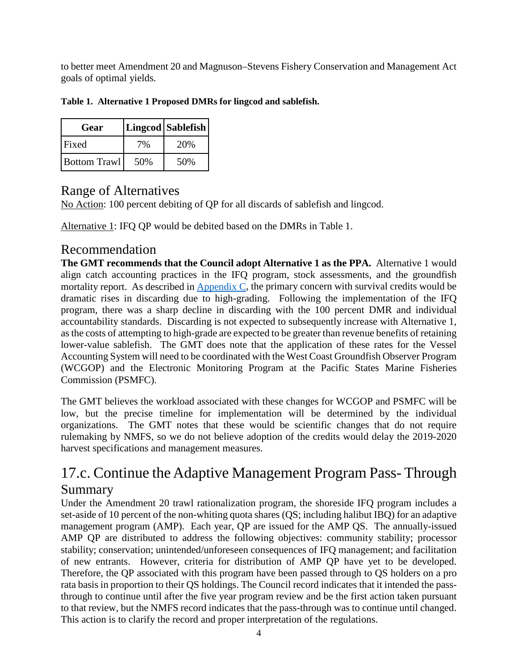to better meet Amendment 20 and Magnuson–Stevens Fishery Conservation and Management Act goals of optimal yields.

<span id="page-3-0"></span>**Table 1. Alternative 1 Proposed DMRs for lingcod and sablefish.**

| Gear                |     | Lingcod Sablefish |
|---------------------|-----|-------------------|
| Fixed               | 7%  | 20%               |
| <b>Bottom Trawl</b> | 50% | 50%               |

## Range of Alternatives

No Action: 100 percent debiting of QP for all discards of sablefish and lingcod.

Alternative 1: IFQ QP would be debited based on the DMRs in [Table 1.](#page-3-0)

# Recommendation

**The GMT recommends that the Council adopt Alternative 1 as the PPA.** Alternative 1 would align catch accounting practices in the IFQ program, stock assessments, and the groundfish mortality report. As described in [Appendix C,](https://www.pcouncil.org/wp-content/uploads/2018/03/F5_Att2_Appendix_C_New_Management_Measures_1804_Apr2018BB.pdf) the primary concern with survival credits would be dramatic rises in discarding due to high-grading. Following the implementation of the IFQ program, there was a sharp decline in discarding with the 100 percent DMR and individual accountability standards. Discarding is not expected to subsequently increase with Alternative 1, as the costs of attempting to high-grade are expected to be greater than revenue benefits of retaining lower-value sablefish. The GMT does note that the application of these rates for the Vessel Accounting System will need to be coordinated with the West Coast Groundfish Observer Program (WCGOP) and the Electronic Monitoring Program at the Pacific States Marine Fisheries Commission (PSMFC).

The GMT believes the workload associated with these changes for WCGOP and PSMFC will be low, but the precise timeline for implementation will be determined by the individual organizations. The GMT notes that these would be scientific changes that do not require rulemaking by NMFS, so we do not believe adoption of the credits would delay the 2019-2020 harvest specifications and management measures.

# 17.c. Continue the Adaptive Management Program Pass- Through Summary

Under the Amendment 20 trawl rationalization program, the shoreside IFQ program includes a set-aside of 10 percent of the non-whiting quota shares (QS; including halibut IBQ) for an adaptive management program (AMP). Each year, QP are issued for the AMP QS. The annually-issued AMP QP are distributed to address the following objectives: community stability; processor stability; conservation; unintended/unforeseen consequences of IFQ management; and facilitation of new entrants. However, criteria for distribution of AMP QP have yet to be developed. Therefore, the QP associated with this program have been passed through to QS holders on a pro rata basis in proportion to their QS holdings. The Council record indicates that it intended the passthrough to continue until after the five year program review and be the first action taken pursuant to that review, but the NMFS record indicates that the pass-through was to continue until changed. This action is to clarify the record and proper interpretation of the regulations.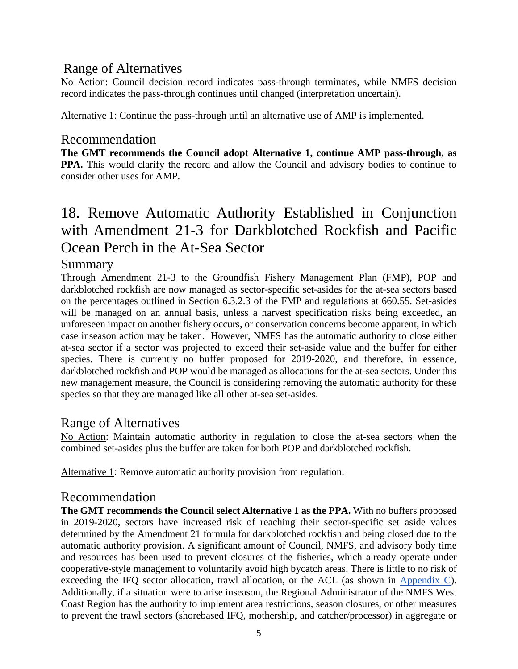## Range of Alternatives

No Action: Council decision record indicates pass-through terminates, while NMFS decision record indicates the pass-through continues until changed (interpretation uncertain).

Alternative 1: Continue the pass-through until an alternative use of AMP is implemented.

### Recommendation

**The GMT recommends the Council adopt Alternative 1, continue AMP pass-through, as PPA.** This would clarify the record and allow the Council and advisory bodies to continue to consider other uses for AMP.

# 18. Remove Automatic Authority Established in Conjunction with Amendment 21-3 for Darkblotched Rockfish and Pacific Ocean Perch in the At-Sea Sector

### Summary

Through Amendment 21-3 to the Groundfish Fishery Management Plan (FMP), POP and darkblotched rockfish are now managed as sector-specific set-asides for the at-sea sectors based on the percentages outlined in Section 6.3.2.3 of the FMP and regulations at 660.55. Set-asides will be managed on an annual basis, unless a harvest specification risks being exceeded, an unforeseen impact on another fishery occurs, or conservation concerns become apparent, in which case inseason action may be taken. However, NMFS has the automatic authority to close either at-sea sector if a sector was projected to exceed their set-aside value and the buffer for either species. There is currently no buffer proposed for 2019-2020, and therefore, in essence, darkblotched rockfish and POP would be managed as allocations for the at-sea sectors. Under this new management measure, the Council is considering removing the automatic authority for these species so that they are managed like all other at-sea set-asides.

### Range of Alternatives

No Action: Maintain automatic authority in regulation to close the at-sea sectors when the combined set-asides plus the buffer are taken for both POP and darkblotched rockfish.

Alternative 1: Remove automatic authority provision from regulation.

### Recommendation

**The GMT recommends the Council select Alternative 1 as the PPA.** With no buffers proposed in 2019-2020, sectors have increased risk of reaching their sector-specific set aside values determined by the Amendment 21 formula for darkblotched rockfish and being closed due to the automatic authority provision. A significant amount of Council, NMFS, and advisory body time and resources has been used to prevent closures of the fisheries, which already operate under cooperative-style management to voluntarily avoid high bycatch areas. There is little to no risk of exceeding the IFQ sector allocation, trawl allocation, or the ACL (as shown in [Appendix C\)](https://www.pcouncil.org/wp-content/uploads/2018/03/F5_Att2_Appendix_C_New_Management_Measures_1804_Apr2018BB.pdf). Additionally, if a situation were to arise inseason, the Regional Administrator of the NMFS West Coast Region has the authority to implement area restrictions, season closures, or other measures to prevent the trawl sectors (shorebased IFQ, mothership, and catcher/processor) in aggregate or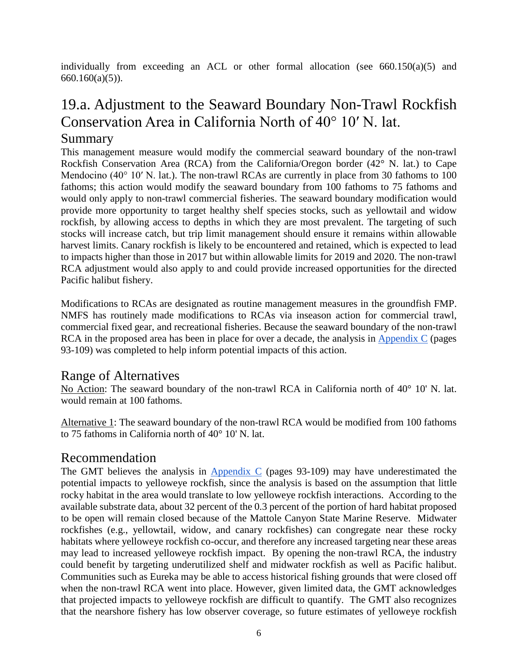individually from exceeding an ACL or other formal allocation (see 660.150(a)(5) and 660.160(a)(5)).

# 19.a. Adjustment to the Seaward Boundary Non-Trawl Rockfish Conservation Area in California North of 40° 10′ N. lat.

### Summary

This management measure would modify the commercial seaward boundary of the non-trawl Rockfish Conservation Area (RCA) from the California/Oregon border (42° N. lat.) to Cape Mendocino (40° 10′ N. lat.). The non-trawl RCAs are currently in place from 30 fathoms to 100 fathoms; this action would modify the seaward boundary from 100 fathoms to 75 fathoms and would only apply to non-trawl commercial fisheries. The seaward boundary modification would provide more opportunity to target healthy shelf species stocks, such as yellowtail and widow rockfish, by allowing access to depths in which they are most prevalent. The targeting of such stocks will increase catch, but trip limit management should ensure it remains within allowable harvest limits. Canary rockfish is likely to be encountered and retained, which is expected to lead to impacts higher than those in 2017 but within allowable limits for 2019 and 2020. The non-trawl RCA adjustment would also apply to and could provide increased opportunities for the directed Pacific halibut fishery.

Modifications to RCAs are designated as routine management measures in the groundfish FMP. NMFS has routinely made modifications to RCAs via inseason action for commercial trawl, commercial fixed gear, and recreational fisheries. Because the seaward boundary of the non-trawl RCA in the proposed area has been in place for over a decade, the analysis in [Appendix C](https://www.pcouncil.org/wp-content/uploads/2018/03/F5_Att2_Appendix_C_New_Management_Measures_1804_Apr2018BB.pdf) (pages 93-109) was completed to help inform potential impacts of this action.

### Range of Alternatives

No Action: The seaward boundary of the non-trawl RCA in California north of 40° 10' N. lat. would remain at 100 fathoms.

Alternative 1: The seaward boundary of the non-trawl RCA would be modified from 100 fathoms to 75 fathoms in California north of 40° 10' N. lat.

### Recommendation

The GMT believes the analysis in  $\Delta$ ppendix C (pages 93-109) may have underestimated the potential impacts to yelloweye rockfish, since the analysis is based on the assumption that little rocky habitat in the area would translate to low yelloweye rockfish interactions. According to the available substrate data, about 32 percent of the 0.3 percent of the portion of hard habitat proposed to be open will remain closed because of the Mattole Canyon State Marine Reserve. Midwater rockfishes (e.g., yellowtail, widow, and canary rockfishes) can congregate near these rocky habitats where yelloweye rockfish co-occur, and therefore any increased targeting near these areas may lead to increased yelloweye rockfish impact. By opening the non-trawl RCA, the industry could benefit by targeting underutilized shelf and midwater rockfish as well as Pacific halibut. Communities such as Eureka may be able to access historical fishing grounds that were closed off when the non-trawl RCA went into place. However, given limited data, the GMT acknowledges that projected impacts to yelloweye rockfish are difficult to quantify. The GMT also recognizes that the nearshore fishery has low observer coverage, so future estimates of yelloweye rockfish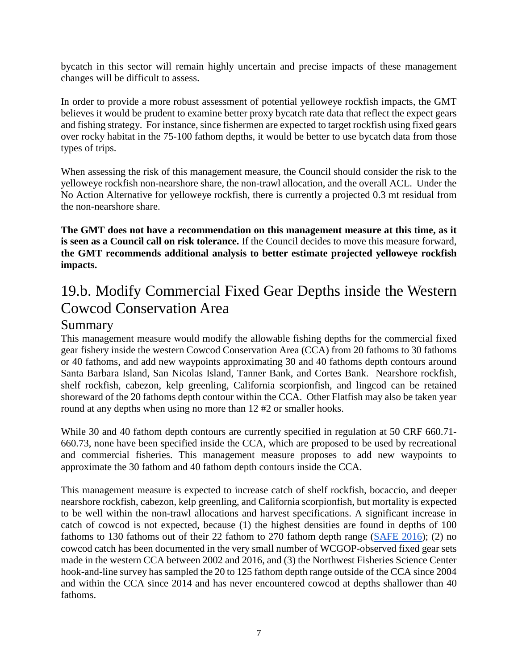bycatch in this sector will remain highly uncertain and precise impacts of these management changes will be difficult to assess.

In order to provide a more robust assessment of potential yelloweye rockfish impacts, the GMT believes it would be prudent to examine better proxy bycatch rate data that reflect the expect gears and fishing strategy. For instance, since fishermen are expected to target rockfish using fixed gears over rocky habitat in the 75-100 fathom depths, it would be better to use bycatch data from those types of trips.

When assessing the risk of this management measure, the Council should consider the risk to the yelloweye rockfish non-nearshore share, the non-trawl allocation, and the overall ACL. Under the No Action Alternative for yelloweye rockfish, there is currently a projected 0.3 mt residual from the non-nearshore share.

**The GMT does not have a recommendation on this management measure at this time, as it is seen as a Council call on risk tolerance.** If the Council decides to move this measure forward, **the GMT recommends additional analysis to better estimate projected yelloweye rockfish impacts.** 

# 19.b. Modify Commercial Fixed Gear Depths inside the Western Cowcod Conservation Area

### Summary

This management measure would modify the allowable fishing depths for the commercial fixed gear fishery inside the western Cowcod Conservation Area (CCA) from 20 fathoms to 30 fathoms or 40 fathoms, and add new waypoints approximating 30 and 40 fathoms depth contours around Santa Barbara Island, San Nicolas Island, Tanner Bank, and Cortes Bank. Nearshore rockfish, shelf rockfish, cabezon, kelp greenling, California scorpionfish, and lingcod can be retained shoreward of the 20 fathoms depth contour within the CCA. Other Flatfish may also be taken year round at any depths when using no more than 12 #2 or smaller hooks.

While 30 and 40 fathom depth contours are currently specified in regulation at 50 CRF 660.71- 660.73, none have been specified inside the CCA, which are proposed to be used by recreational and commercial fisheries. This management measure proposes to add new waypoints to approximate the 30 fathom and 40 fathom depth contours inside the CCA.

This management measure is expected to increase catch of shelf rockfish, bocaccio, and deeper nearshore rockfish, cabezon, kelp greenling, and California scorpionfish, but mortality is expected to be well within the non-trawl allocations and harvest specifications. A significant increase in catch of cowcod is not expected, because (1) the highest densities are found in depths of 100 fathoms to 130 fathoms out of their 22 fathom to 270 fathom depth range [\(SAFE 2016\)](http://www.pcouncil.org/wp-content/uploads/2017/02/SAFE_Dec2016_02_28_2017.pdf); (2) no cowcod catch has been documented in the very small number of WCGOP-observed fixed gear sets made in the western CCA between 2002 and 2016, and (3) the Northwest Fisheries Science Center hook-and-line survey has sampled the 20 to 125 fathom depth range outside of the CCA since 2004 and within the CCA since 2014 and has never encountered cowcod at depths shallower than 40 fathoms.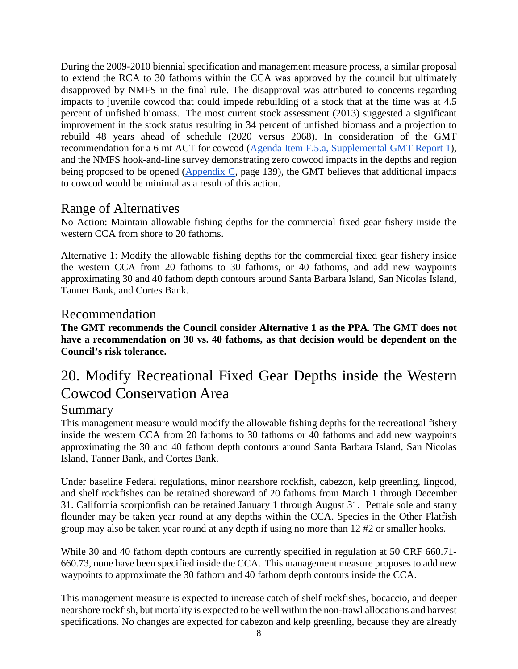During the 2009-2010 biennial specification and management measure process, a similar proposal to extend the RCA to 30 fathoms within the CCA was approved by the council but ultimately disapproved by NMFS in the final rule. The disapproval was attributed to concerns regarding impacts to juvenile cowcod that could impede rebuilding of a stock that at the time was at 4.5 percent of unfished biomass. The most current stock assessment (2013) suggested a significant improvement in the stock status resulting in 34 percent of unfished biomass and a projection to rebuild 48 years ahead of schedule (2020 versus 2068). In consideration of the GMT recommendation for a 6 mt ACT for cowcod [\(Agenda Item F.5.a, Supplemental GMT Report 1\)](https://www.pcouncil.org/wp-content/uploads/2018/04/F5a_Supp_GMT_Rpt1_Apr2018BB.pdf), and the NMFS hook-and-line survey demonstrating zero cowcod impacts in the depths and region being proposed to be opened  $(Appendix C$ , page 139), the GMT believes that additional impacts to cowcod would be minimal as a result of this action.

### Range of Alternatives

No Action: Maintain allowable fishing depths for the commercial fixed gear fishery inside the western CCA from shore to 20 fathoms.

Alternative 1: Modify the allowable fishing depths for the commercial fixed gear fishery inside the western CCA from 20 fathoms to 30 fathoms, or 40 fathoms, and add new waypoints approximating 30 and 40 fathom depth contours around Santa Barbara Island, San Nicolas Island, Tanner Bank, and Cortes Bank.

### Recommendation

**The GMT recommends the Council consider Alternative 1 as the PPA**. **The GMT does not have a recommendation on 30 vs. 40 fathoms, as that decision would be dependent on the Council's risk tolerance.** 

# 20. Modify Recreational Fixed Gear Depths inside the Western Cowcod Conservation Area

## Summary

This management measure would modify the allowable fishing depths for the recreational fishery inside the western CCA from 20 fathoms to 30 fathoms or 40 fathoms and add new waypoints approximating the 30 and 40 fathom depth contours around Santa Barbara Island, San Nicolas Island, Tanner Bank, and Cortes Bank.

Under baseline Federal regulations, minor nearshore rockfish, cabezon, kelp greenling, lingcod, and shelf rockfishes can be retained shoreward of 20 fathoms from March 1 through December 31. California scorpionfish can be retained January 1 through August 31. Petrale sole and starry flounder may be taken year round at any depths within the CCA. Species in the Other Flatfish group may also be taken year round at any depth if using no more than 12 #2 or smaller hooks.

While 30 and 40 fathom depth contours are currently specified in regulation at 50 CRF 660.71- 660.73, none have been specified inside the CCA. This management measure proposes to add new waypoints to approximate the 30 fathom and 40 fathom depth contours inside the CCA.

This management measure is expected to increase catch of shelf rockfishes, bocaccio, and deeper nearshore rockfish, but mortality is expected to be well within the non-trawl allocations and harvest specifications. No changes are expected for cabezon and kelp greenling, because they are already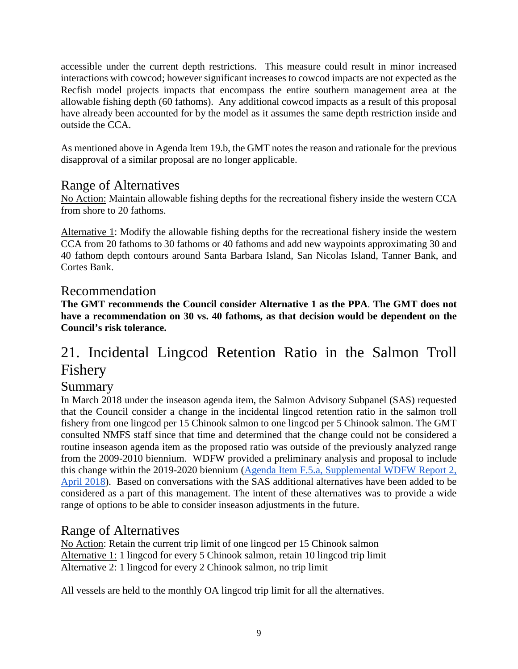accessible under the current depth restrictions. This measure could result in minor increased interactions with cowcod; however significant increases to cowcod impacts are not expected as the Recfish model projects impacts that encompass the entire southern management area at the allowable fishing depth (60 fathoms). Any additional cowcod impacts as a result of this proposal have already been accounted for by the model as it assumes the same depth restriction inside and outside the CCA.

As mentioned above in Agenda Item 19.b, the GMT notes the reason and rationale for the previous disapproval of a similar proposal are no longer applicable.

## Range of Alternatives

No Action: Maintain allowable fishing depths for the recreational fishery inside the western CCA from shore to 20 fathoms.

Alternative 1: Modify the allowable fishing depths for the recreational fishery inside the western CCA from 20 fathoms to 30 fathoms or 40 fathoms and add new waypoints approximating 30 and 40 fathom depth contours around Santa Barbara Island, San Nicolas Island, Tanner Bank, and Cortes Bank.

### Recommendation

**The GMT recommends the Council consider Alternative 1 as the PPA**. **The GMT does not have a recommendation on 30 vs. 40 fathoms, as that decision would be dependent on the Council's risk tolerance.** 

# 21. Incidental Lingcod Retention Ratio in the Salmon Troll Fishery

### Summary

In March 2018 under the inseason agenda item, the Salmon Advisory Subpanel (SAS) requested that the Council consider a change in the incidental lingcod retention ratio in the salmon troll fishery from one lingcod per 15 Chinook salmon to one lingcod per 5 Chinook salmon. The GMT consulted NMFS staff since that time and determined that the change could not be considered a routine inseason agenda item as the proposed ratio was outside of the previously analyzed range from the 2009-2010 biennium. WDFW provided a preliminary analysis and proposal to include this change within the 2019-2020 biennium [\(Agenda Item F.5.a, Supplemental WDFW Report 2,](https://www.pcouncil.org/wp-content/uploads/2018/04/F5a_Supp_WDFW_Rpt2_Sal_Troll_0407_Apr2018BB.pdf)  [April 2018\)](https://www.pcouncil.org/wp-content/uploads/2018/04/F5a_Supp_WDFW_Rpt2_Sal_Troll_0407_Apr2018BB.pdf). Based on conversations with the SAS additional alternatives have been added to be considered as a part of this management. The intent of these alternatives was to provide a wide range of options to be able to consider inseason adjustments in the future.

## Range of Alternatives

No Action: Retain the current trip limit of one lingcod per 15 Chinook salmon Alternative 1: 1 lingcod for every 5 Chinook salmon, retain 10 lingcod trip limit Alternative 2: 1 lingcod for every 2 Chinook salmon, no trip limit

All vessels are held to the monthly OA lingcod trip limit for all the alternatives.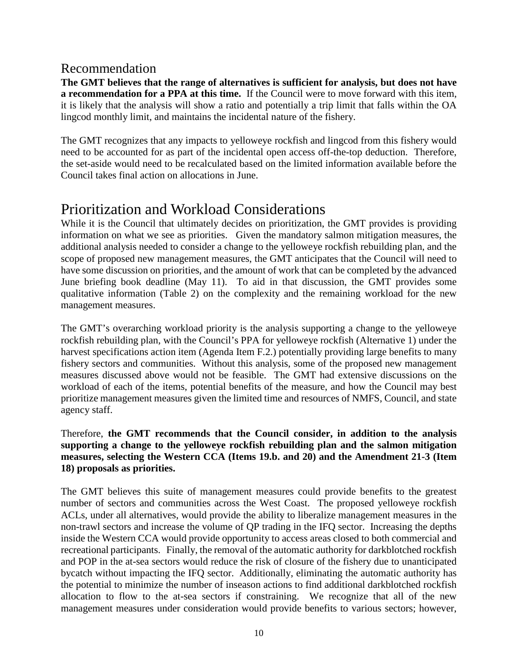## Recommendation

**The GMT believes that the range of alternatives is sufficient for analysis, but does not have a recommendation for a PPA at this time.** If the Council were to move forward with this item, it is likely that the analysis will show a ratio and potentially a trip limit that falls within the OA lingcod monthly limit, and maintains the incidental nature of the fishery.

The GMT recognizes that any impacts to yelloweye rockfish and lingcod from this fishery would need to be accounted for as part of the incidental open access off-the-top deduction. Therefore, the set-aside would need to be recalculated based on the limited information available before the Council takes final action on allocations in June.

# Prioritization and Workload Considerations

While it is the Council that ultimately decides on prioritization, the GMT provides is providing information on what we see as priorities. Given the mandatory salmon mitigation measures, the additional analysis needed to consider a change to the yelloweye rockfish rebuilding plan, and the scope of proposed new management measures, the GMT anticipates that the Council will need to have some discussion on priorities, and the amount of work that can be completed by the advanced June briefing book deadline (May 11). To aid in that discussion, the GMT provides some qualitative information [\(Table 2\)](#page-11-0) on the complexity and the remaining workload for the new management measures.

The GMT's overarching workload priority is the analysis supporting a change to the yelloweye rockfish rebuilding plan, with the Council's PPA for yelloweye rockfish (Alternative 1) under the harvest specifications action item (Agenda Item F.2.) potentially providing large benefits to many fishery sectors and communities. Without this analysis, some of the proposed new management measures discussed above would not be feasible. The GMT had extensive discussions on the workload of each of the items, potential benefits of the measure, and how the Council may best prioritize management measures given the limited time and resources of NMFS, Council, and state agency staff.

#### Therefore, **the GMT recommends that the Council consider, in addition to the analysis supporting a change to the yelloweye rockfish rebuilding plan and the salmon mitigation measures, selecting the Western CCA (Items 19.b. and 20) and the Amendment 21-3 (Item 18) proposals as priorities.**

The GMT believes this suite of management measures could provide benefits to the greatest number of sectors and communities across the West Coast. The proposed yelloweye rockfish ACLs, under all alternatives, would provide the ability to liberalize management measures in the non-trawl sectors and increase the volume of QP trading in the IFQ sector. Increasing the depths inside the Western CCA would provide opportunity to access areas closed to both commercial and recreational participants. Finally, the removal of the automatic authority for darkblotched rockfish and POP in the at-sea sectors would reduce the risk of closure of the fishery due to unanticipated bycatch without impacting the IFQ sector. Additionally, eliminating the automatic authority has the potential to minimize the number of inseason actions to find additional darkblotched rockfish allocation to flow to the at-sea sectors if constraining. We recognize that all of the new management measures under consideration would provide benefits to various sectors; however,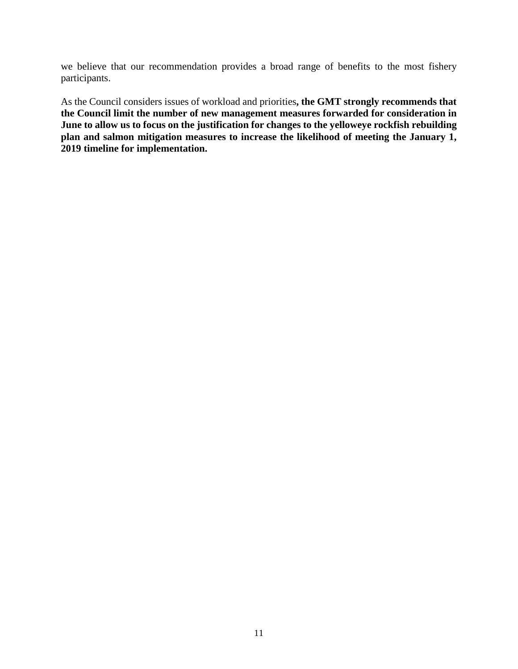we believe that our recommendation provides a broad range of benefits to the most fishery participants.

As the Council considers issues of workload and priorities**, the GMT strongly recommends that the Council limit the number of new management measures forwarded for consideration in June to allow us to focus on the justification for changes to the yelloweye rockfish rebuilding plan and salmon mitigation measures to increase the likelihood of meeting the January 1, 2019 timeline for implementation.**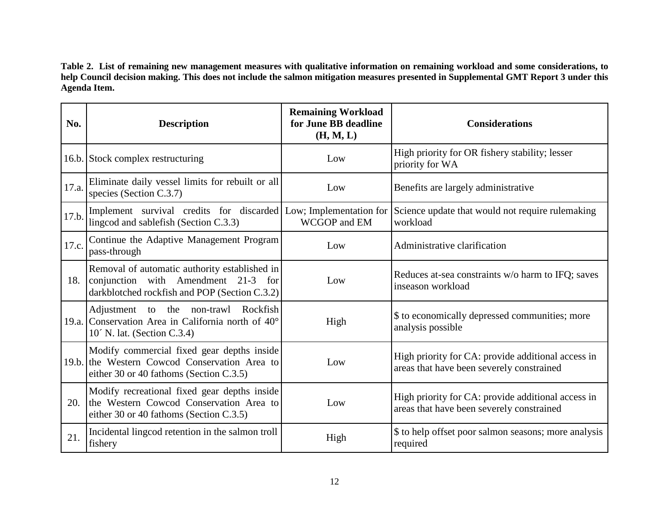**Table 2. List of remaining new management measures with qualitative information on remaining workload and some considerations, to help Council decision making. This does not include the salmon mitigation measures presented in Supplemental GMT Report 3 under this Agenda Item.**

<span id="page-11-0"></span>

| No.   | <b>Description</b>                                                                                                                      | <b>Remaining Workload</b><br>for June BB deadline<br>(H, M, L) | <b>Considerations</b>                                                                           |
|-------|-----------------------------------------------------------------------------------------------------------------------------------------|----------------------------------------------------------------|-------------------------------------------------------------------------------------------------|
|       | 16.b. Stock complex restructuring                                                                                                       | Low                                                            | High priority for OR fishery stability; lesser<br>priority for WA                               |
| 17.a. | Eliminate daily vessel limits for rebuilt or all<br>species (Section C.3.7)                                                             | Low                                                            | Benefits are largely administrative                                                             |
| 17.b. | Implement survival credits for discarded Low; Implementation for<br>lingcod and sablefish (Section C.3.3)                               | WCGOP and EM                                                   | Science update that would not require rulemaking<br>workload                                    |
| 17.c. | Continue the Adaptive Management Program<br>pass-through                                                                                | Low                                                            | Administrative clarification                                                                    |
| 18.   | Removal of automatic authority established in<br>conjunction with Amendment 21-3 for<br>darkblotched rockfish and POP (Section C.3.2)   | Low                                                            | Reduces at-sea constraints w/o harm to IFQ; saves<br>inseason workload                          |
|       | Adjustment to the non-trawl<br>Rockfish<br>19.a. Conservation Area in California north of $40^{\circ}$<br>$10'$ N. lat. (Section C.3.4) | High                                                           | \$ to economically depressed communities; more<br>analysis possible                             |
|       | Modify commercial fixed gear depths inside<br>19.b. the Western Cowcod Conservation Area to<br>either 30 or 40 fathoms (Section C.3.5)  | Low                                                            | High priority for CA: provide additional access in<br>areas that have been severely constrained |
| 20.   | Modify recreational fixed gear depths inside<br>the Western Cowcod Conservation Area to<br>either 30 or 40 fathoms (Section C.3.5)      | Low                                                            | High priority for CA: provide additional access in<br>areas that have been severely constrained |
| 21.   | Incidental lingcod retention in the salmon troll<br>fishery                                                                             | High                                                           | \$ to help offset poor salmon seasons; more analysis<br>required                                |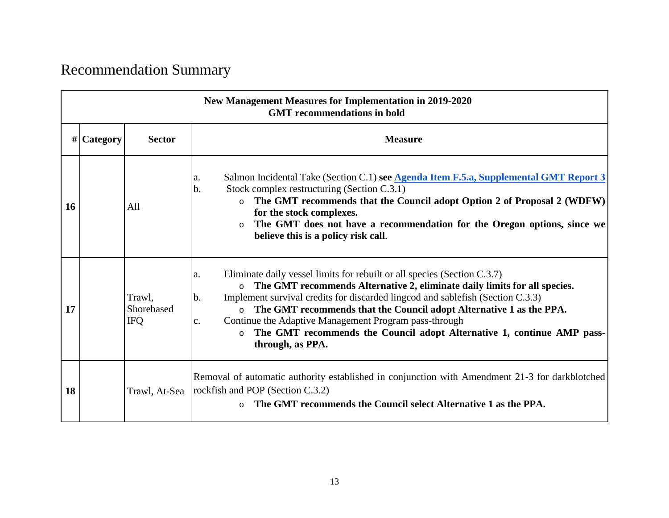# Recommendation Summary

| <b>New Management Measures for Implementation in 2019-2020</b><br><b>GMT</b> recommendations in bold |              |                                    |                                                                                                                                                                                                                                                                                                                                                                                                                                                                                                                          |  |
|------------------------------------------------------------------------------------------------------|--------------|------------------------------------|--------------------------------------------------------------------------------------------------------------------------------------------------------------------------------------------------------------------------------------------------------------------------------------------------------------------------------------------------------------------------------------------------------------------------------------------------------------------------------------------------------------------------|--|
|                                                                                                      | $#$ Category | <b>Sector</b>                      | <b>Measure</b>                                                                                                                                                                                                                                                                                                                                                                                                                                                                                                           |  |
| <b>16</b>                                                                                            |              | All                                | Salmon Incidental Take (Section C.1) see Agenda Item F.5.a, Supplemental GMT Report 3<br>a.<br>Stock complex restructuring (Section C.3.1)<br>b.<br>The GMT recommends that the Council adopt Option 2 of Proposal 2 (WDFW)<br>for the stock complexes.<br>The GMT does not have a recommendation for the Oregon options, since we<br>$\circ$<br>believe this is a policy risk call.                                                                                                                                     |  |
| 17                                                                                                   |              | Trawl,<br>Shorebased<br><b>IFQ</b> | Eliminate daily vessel limits for rebuilt or all species (Section C.3.7)<br>a.<br>The GMT recommends Alternative 2, eliminate daily limits for all species.<br>$\circ$<br>Implement survival credits for discarded lingcod and sablefish (Section C.3.3)<br>b.<br>The GMT recommends that the Council adopt Alternative 1 as the PPA.<br>$\circ$<br>Continue the Adaptive Management Program pass-through<br>c.<br>The GMT recommends the Council adopt Alternative 1, continue AMP pass-<br>$\circ$<br>through, as PPA. |  |
| 18                                                                                                   |              |                                    | Removal of automatic authority established in conjunction with Amendment 21-3 for darkblotched<br>Trawl, At-Sea   rockfish and POP (Section C.3.2)<br>The GMT recommends the Council select Alternative 1 as the PPA.<br>$\Omega$                                                                                                                                                                                                                                                                                        |  |